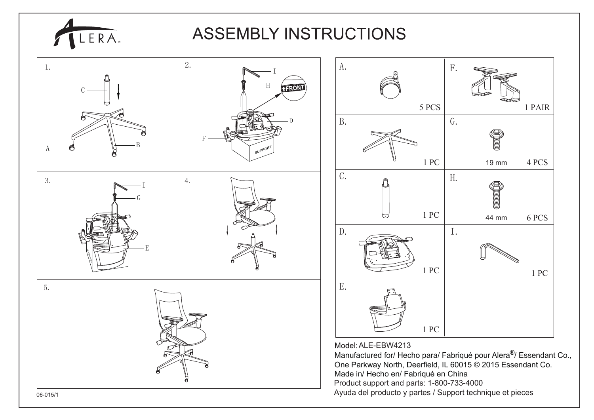

## **ASSEMBLY INSTRUCTIONS**

1 PAIR

1 PC

6 PCS

4 PCS

19 mm

44 mm